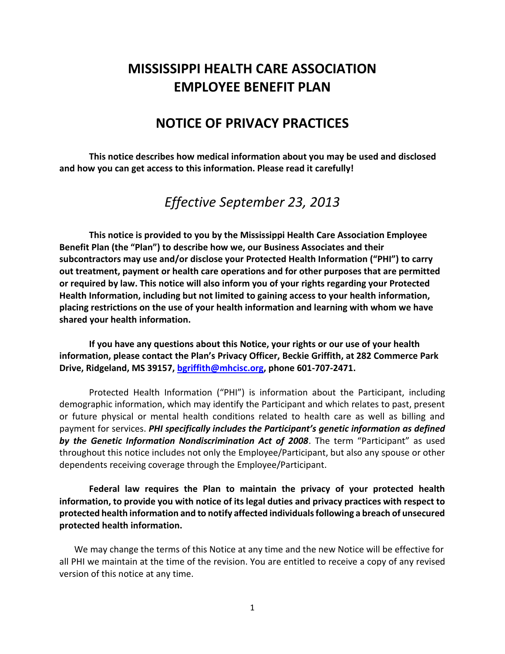# **MISSISSIPPI HEALTH CARE ASSOCIATION EMPLOYEE BENEFIT PLAN**

# **NOTICE OF PRIVACY PRACTICES**

**This notice describes how medical information about you may be used and disclosed and how you can get access to this information. Please read it carefully!**

*Effective September 23, 2013*

**This notice is provided to you by the Mississippi Health Care Association Employee Benefit Plan (the "Plan") to describe how we, our Business Associates and their subcontractors may use and/or disclose your Protected Health Information ("PHI") to carry out treatment, payment or health care operations and for other purposes that are permitted or required by law. This notice will also inform you of your rights regarding your Protected Health Information, including but not limited to gaining access to your health information, placing restrictions on the use of your health information and learning with whom we have shared your health information.**

**If you have any questions about this Notice, your rights or our use of your health information, please contact the Plan's Privacy Officer, Beckie Griffith, at 282 Commerce Park Drive, Ridgeland, MS 39157, [bgriffith@mhcisc.org,](mailto:bgriffith@mhcisc.org) phone 601-707-2471.**

Protected Health Information ("PHI") is information about the Participant, including demographic information, which may identify the Participant and which relates to past, present or future physical or mental health conditions related to health care as well as billing and payment for services. *PHI specifically includes the Participant's genetic information as defined by the Genetic Information Nondiscrimination Act of 2008*. The term "Participant" as used throughout this notice includes not only the Employee/Participant, but also any spouse or other dependents receiving coverage through the Employee/Participant.

**Federal law requires the Plan to maintain the privacy of your protected health information, to provide you with notice of its legal duties and privacy practices with respect to protected health information and to notify affected individuals following a breach of unsecured protected health information.**

We may change the terms of this Notice at any time and the new Notice will be effective for all PHI we maintain at the time of the revision. You are entitled to receive a copy of any revised version of this notice at any time.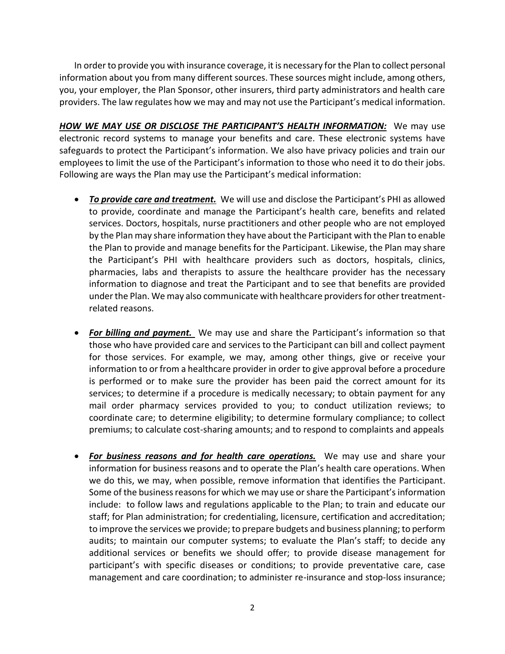In order to provide you with insurance coverage, it is necessary for the Plan to collect personal information about you from many different sources. These sources might include, among others, you, your employer, the Plan Sponsor, other insurers, third party administrators and health care providers. The law regulates how we may and may not use the Participant's medical information.

*HOW WE MAY USE OR DISCLOSE THE PARTICIPANT'S HEALTH INFORMATION:* We may use electronic record systems to manage your benefits and care. These electronic systems have safeguards to protect the Participant's information. We also have privacy policies and train our employees to limit the use of the Participant's information to those who need it to do their jobs. Following are ways the Plan may use the Participant's medical information:

- *To provide care and treatment.* We will use and disclose the Participant's PHI as allowed to provide, coordinate and manage the Participant's health care, benefits and related services. Doctors, hospitals, nurse practitioners and other people who are not employed by the Plan may share information they have about the Participant with the Plan to enable the Plan to provide and manage benefits for the Participant. Likewise, the Plan may share the Participant's PHI with healthcare providers such as doctors, hospitals, clinics, pharmacies, labs and therapists to assure the healthcare provider has the necessary information to diagnose and treat the Participant and to see that benefits are provided under the Plan. We may also communicate with healthcare providers for other treatmentrelated reasons.
- *For billing and payment.* We may use and share the Participant's information so that those who have provided care and services to the Participant can bill and collect payment for those services. For example, we may, among other things, give or receive your information to or from a healthcare provider in order to give approval before a procedure is performed or to make sure the provider has been paid the correct amount for its services; to determine if a procedure is medically necessary; to obtain payment for any mail order pharmacy services provided to you; to conduct utilization reviews; to coordinate care; to determine eligibility; to determine formulary compliance; to collect premiums; to calculate cost-sharing amounts; and to respond to complaints and appeals
- *For business reasons and for health care operations.* We may use and share your information for business reasons and to operate the Plan's health care operations. When we do this, we may, when possible, remove information that identifies the Participant. Some of the business reasons for which we may use or share the Participant's information include: to follow laws and regulations applicable to the Plan; to train and educate our staff; for Plan administration; for credentialing, licensure, certification and accreditation; to improve the services we provide; to prepare budgets and business planning; to perform audits; to maintain our computer systems; to evaluate the Plan's staff; to decide any additional services or benefits we should offer; to provide disease management for participant's with specific diseases or conditions; to provide preventative care, case management and care coordination; to administer re-insurance and stop-loss insurance;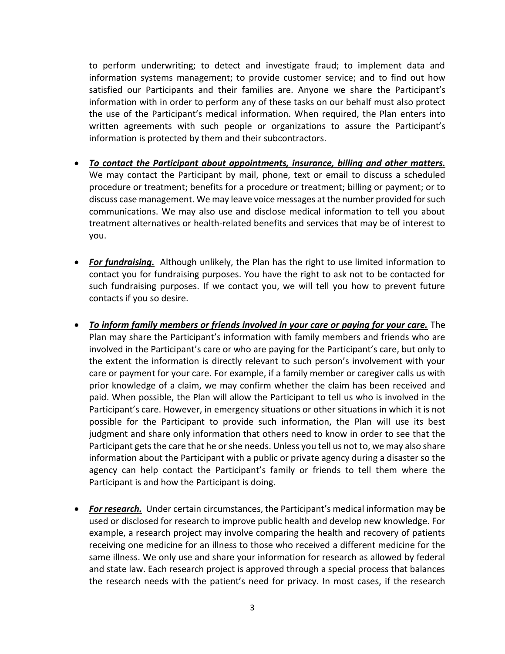to perform underwriting; to detect and investigate fraud; to implement data and information systems management; to provide customer service; and to find out how satisfied our Participants and their families are. Anyone we share the Participant's information with in order to perform any of these tasks on our behalf must also protect the use of the Participant's medical information. When required, the Plan enters into written agreements with such people or organizations to assure the Participant's information is protected by them and their subcontractors.

- *To contact the Participant about appointments, insurance, billing and other matters.* We may contact the Participant by mail, phone, text or email to discuss a scheduled procedure or treatment; benefits for a procedure or treatment; billing or payment; or to discuss case management. We may leave voice messages at the number provided for such communications. We may also use and disclose medical information to tell you about treatment alternatives or health-related benefits and services that may be of interest to you.
- *For fundraising.* Although unlikely, the Plan has the right to use limited information to contact you for fundraising purposes. You have the right to ask not to be contacted for such fundraising purposes. If we contact you, we will tell you how to prevent future contacts if you so desire.
- *To inform family members or friends involved in your care or paying for your care.* The Plan may share the Participant's information with family members and friends who are involved in the Participant's care or who are paying for the Participant's care, but only to the extent the information is directly relevant to such person's involvement with your care or payment for your care. For example, if a family member or caregiver calls us with prior knowledge of a claim, we may confirm whether the claim has been received and paid. When possible, the Plan will allow the Participant to tell us who is involved in the Participant's care. However, in emergency situations or other situations in which it is not possible for the Participant to provide such information, the Plan will use its best judgment and share only information that others need to know in order to see that the Participant gets the care that he or she needs. Unless you tell us not to, we may also share information about the Participant with a public or private agency during a disaster so the agency can help contact the Participant's family or friends to tell them where the Participant is and how the Participant is doing.
- *For research.* Under certain circumstances, the Participant's medical information may be used or disclosed for research to improve public health and develop new knowledge. For example, a research project may involve comparing the health and recovery of patients receiving one medicine for an illness to those who received a different medicine for the same illness. We only use and share your information for research as allowed by federal and state law. Each research project is approved through a special process that balances the research needs with the patient's need for privacy. In most cases, if the research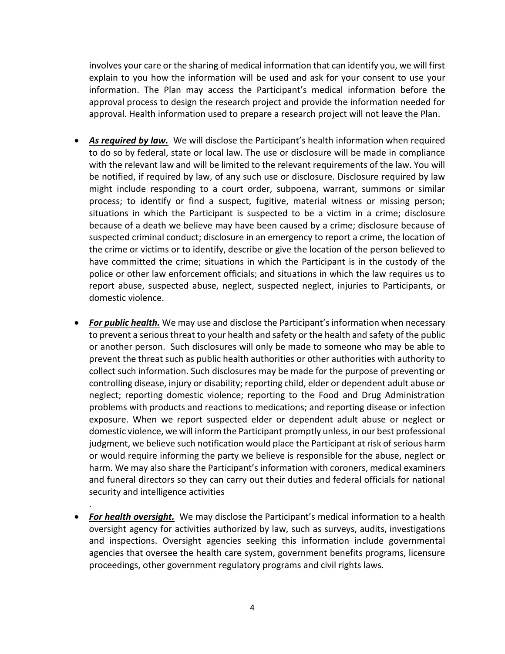involves your care or the sharing of medical information that can identify you, we will first explain to you how the information will be used and ask for your consent to use your information. The Plan may access the Participant's medical information before the approval process to design the research project and provide the information needed for approval. Health information used to prepare a research project will not leave the Plan.

- *As required by law.* We will disclose the Participant's health information when required to do so by federal, state or local law. The use or disclosure will be made in compliance with the relevant law and will be limited to the relevant requirements of the law. You will be notified, if required by law, of any such use or disclosure. Disclosure required by law might include responding to a court order, subpoena, warrant, summons or similar process; to identify or find a suspect, fugitive, material witness or missing person; situations in which the Participant is suspected to be a victim in a crime; disclosure because of a death we believe may have been caused by a crime; disclosure because of suspected criminal conduct; disclosure in an emergency to report a crime, the location of the crime or victims or to identify, describe or give the location of the person believed to have committed the crime; situations in which the Participant is in the custody of the police or other law enforcement officials; and situations in which the law requires us to report abuse, suspected abuse, neglect, suspected neglect, injuries to Participants, or domestic violence.
- *For public health.* We may use and disclose the Participant's information when necessary to prevent a serious threat to your health and safety or the health and safety of the public or another person. Such disclosures will only be made to someone who may be able to prevent the threat such as public health authorities or other authorities with authority to collect such information. Such disclosures may be made for the purpose of preventing or controlling disease, injury or disability; reporting child, elder or dependent adult abuse or neglect; reporting domestic violence; reporting to the Food and Drug Administration problems with products and reactions to medications; and reporting disease or infection exposure. When we report suspected elder or dependent adult abuse or neglect or domestic violence, we will inform the Participant promptly unless, in our best professional judgment, we believe such notification would place the Participant at risk of serious harm or would require informing the party we believe is responsible for the abuse, neglect or harm. We may also share the Participant's information with coroners, medical examiners and funeral directors so they can carry out their duties and federal officials for national security and intelligence activities
- *For health oversight.* We may disclose the Participant's medical information to a health oversight agency for activities authorized by law, such as surveys, audits, investigations and inspections. Oversight agencies seeking this information include governmental agencies that oversee the health care system, government benefits programs, licensure proceedings, other government regulatory programs and civil rights laws.

.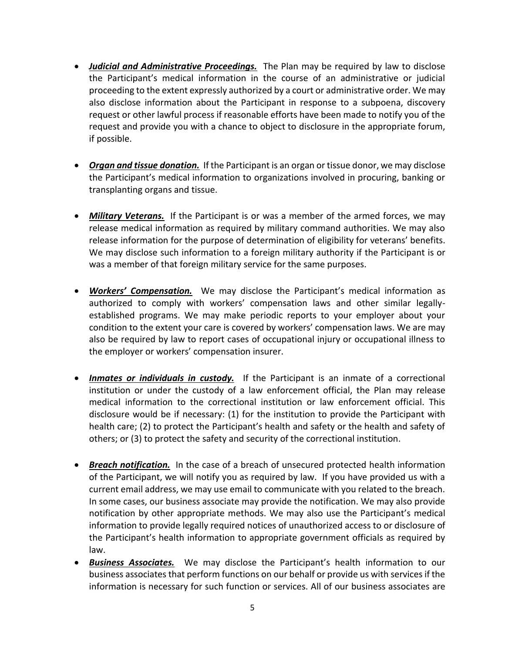- *Judicial and Administrative Proceedings.* The Plan may be required by law to disclose the Participant's medical information in the course of an administrative or judicial proceeding to the extent expressly authorized by a court or administrative order. We may also disclose information about the Participant in response to a subpoena, discovery request or other lawful process if reasonable efforts have been made to notify you of the request and provide you with a chance to object to disclosure in the appropriate forum, if possible.
- *Organ and tissue donation.* If the Participant is an organ or tissue donor, we may disclose the Participant's medical information to organizations involved in procuring, banking or transplanting organs and tissue.
- *Military Veterans.* If the Participant is or was a member of the armed forces, we may release medical information as required by military command authorities. We may also release information for the purpose of determination of eligibility for veterans' benefits. We may disclose such information to a foreign military authority if the Participant is or was a member of that foreign military service for the same purposes.
- *Workers' Compensation.* We may disclose the Participant's medical information as authorized to comply with workers' compensation laws and other similar legallyestablished programs. We may make periodic reports to your employer about your condition to the extent your care is covered by workers' compensation laws. We are may also be required by law to report cases of occupational injury or occupational illness to the employer or workers' compensation insurer.
- *Inmates or individuals in custody.* If the Participant is an inmate of a correctional institution or under the custody of a law enforcement official, the Plan may release medical information to the correctional institution or law enforcement official. This disclosure would be if necessary: (1) for the institution to provide the Participant with health care; (2) to protect the Participant's health and safety or the health and safety of others; or (3) to protect the safety and security of the correctional institution.
- *Breach notification.* In the case of a breach of unsecured protected health information of the Participant, we will notify you as required by law. If you have provided us with a current email address, we may use email to communicate with you related to the breach. In some cases, our business associate may provide the notification. We may also provide notification by other appropriate methods. We may also use the Participant's medical information to provide legally required notices of unauthorized access to or disclosure of the Participant's health information to appropriate government officials as required by law.
- *Business Associates.* We may disclose the Participant's health information to our business associates that perform functions on our behalf or provide us with services if the information is necessary for such function or services. All of our business associates are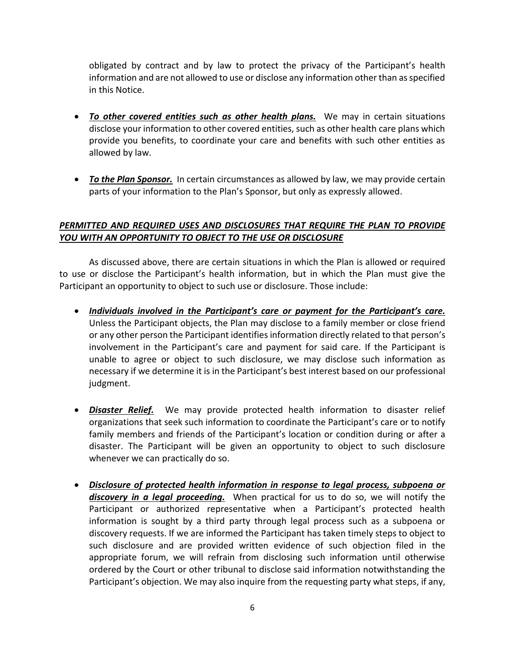obligated by contract and by law to protect the privacy of the Participant's health information and are not allowed to use or disclose any information other than as specified in this Notice.

- *To other covered entities such as other health plans.* We may in certain situations disclose your information to other covered entities, such as other health care plans which provide you benefits, to coordinate your care and benefits with such other entities as allowed by law.
- *To the Plan Sponsor.* In certain circumstances as allowed by law, we may provide certain parts of your information to the Plan's Sponsor, but only as expressly allowed.

#### *PERMITTED AND REQUIRED USES AND DISCLOSURES THAT REQUIRE THE PLAN TO PROVIDE YOU WITH AN OPPORTUNITY TO OBJECT TO THE USE OR DISCLOSURE*

As discussed above, there are certain situations in which the Plan is allowed or required to use or disclose the Participant's health information, but in which the Plan must give the Participant an opportunity to object to such use or disclosure. Those include:

- *Individuals involved in the Participant's care or payment for the Participant's care.* Unless the Participant objects, the Plan may disclose to a family member or close friend or any other person the Participant identifies information directly related to that person's involvement in the Participant's care and payment for said care. If the Participant is unable to agree or object to such disclosure, we may disclose such information as necessary if we determine it is in the Participant's best interest based on our professional judgment.
- *Disaster Relief.* We may provide protected health information to disaster relief organizations that seek such information to coordinate the Participant's care or to notify family members and friends of the Participant's location or condition during or after a disaster. The Participant will be given an opportunity to object to such disclosure whenever we can practically do so.
- *Disclosure of protected health information in response to legal process, subpoena or discovery in a legal proceeding.* When practical for us to do so, we will notify the Participant or authorized representative when a Participant's protected health information is sought by a third party through legal process such as a subpoena or discovery requests. If we are informed the Participant has taken timely steps to object to such disclosure and are provided written evidence of such objection filed in the appropriate forum, we will refrain from disclosing such information until otherwise ordered by the Court or other tribunal to disclose said information notwithstanding the Participant's objection. We may also inquire from the requesting party what steps, if any,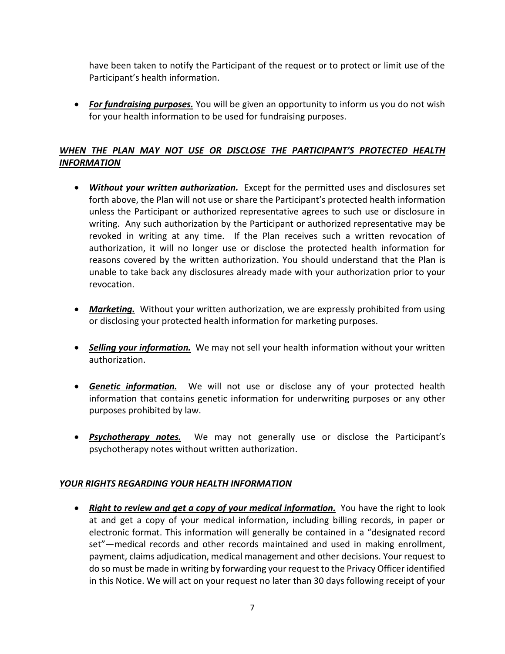have been taken to notify the Participant of the request or to protect or limit use of the Participant's health information.

• *For fundraising purposes.* You will be given an opportunity to inform us you do not wish for your health information to be used for fundraising purposes.

### *WHEN THE PLAN MAY NOT USE OR DISCLOSE THE PARTICIPANT'S PROTECTED HEALTH INFORMATION*

- *Without your written authorization.* Except for the permitted uses and disclosures set forth above, the Plan will not use or share the Participant's protected health information unless the Participant or authorized representative agrees to such use or disclosure in writing. Any such authorization by the Participant or authorized representative may be revoked in writing at any time. If the Plan receives such a written revocation of authorization, it will no longer use or disclose the protected health information for reasons covered by the written authorization. You should understand that the Plan is unable to take back any disclosures already made with your authorization prior to your revocation.
- *Marketing.* Without your written authorization, we are expressly prohibited from using or disclosing your protected health information for marketing purposes.
- *Selling your information.* We may not sell your health information without your written authorization.
- *Genetic information.* We will not use or disclose any of your protected health information that contains genetic information for underwriting purposes or any other purposes prohibited by law.
- *Psychotherapy notes.* We may not generally use or disclose the Participant's psychotherapy notes without written authorization.

#### *YOUR RIGHTS REGARDING YOUR HEALTH INFORMATION*

• *Right to review and get a copy of your medical information.* You have the right to look at and get a copy of your medical information, including billing records, in paper or electronic format. This information will generally be contained in a "designated record set"—medical records and other records maintained and used in making enrollment, payment, claims adjudication, medical management and other decisions. Your request to do so must be made in writing by forwarding your request to the Privacy Officer identified in this Notice. We will act on your request no later than 30 days following receipt of your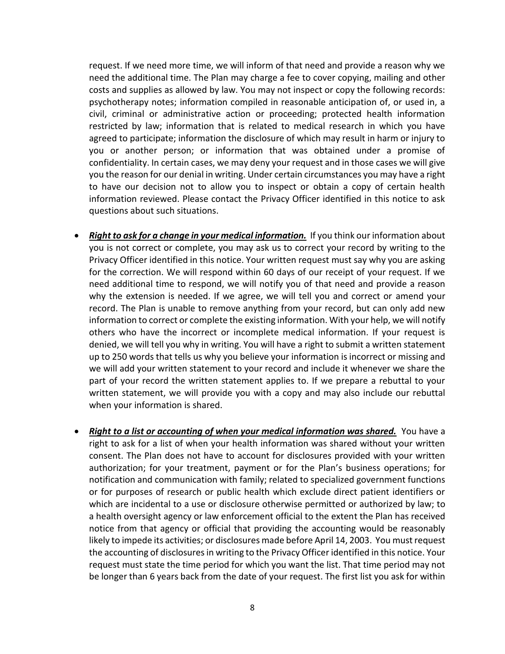request. If we need more time, we will inform of that need and provide a reason why we need the additional time. The Plan may charge a fee to cover copying, mailing and other costs and supplies as allowed by law. You may not inspect or copy the following records: psychotherapy notes; information compiled in reasonable anticipation of, or used in, a civil, criminal or administrative action or proceeding; protected health information restricted by law; information that is related to medical research in which you have agreed to participate; information the disclosure of which may result in harm or injury to you or another person; or information that was obtained under a promise of confidentiality. In certain cases, we may deny your request and in those cases we will give you the reason for our denial in writing. Under certain circumstances you may have a right to have our decision not to allow you to inspect or obtain a copy of certain health information reviewed. Please contact the Privacy Officer identified in this notice to ask questions about such situations.

- *Right to ask for a change in your medical information.* If you think our information about you is not correct or complete, you may ask us to correct your record by writing to the Privacy Officer identified in this notice. Your written request must say why you are asking for the correction. We will respond within 60 days of our receipt of your request. If we need additional time to respond, we will notify you of that need and provide a reason why the extension is needed. If we agree, we will tell you and correct or amend your record. The Plan is unable to remove anything from your record, but can only add new information to correct or complete the existing information. With your help, we will notify others who have the incorrect or incomplete medical information. If your request is denied, we will tell you why in writing. You will have a right to submit a written statement up to 250 words that tells us why you believe your information is incorrect or missing and we will add your written statement to your record and include it whenever we share the part of your record the written statement applies to. If we prepare a rebuttal to your written statement, we will provide you with a copy and may also include our rebuttal when your information is shared.
- *Right to a list or accounting of when your medical information was shared.* You have a right to ask for a list of when your health information was shared without your written consent. The Plan does not have to account for disclosures provided with your written authorization; for your treatment, payment or for the Plan's business operations; for notification and communication with family; related to specialized government functions or for purposes of research or public health which exclude direct patient identifiers or which are incidental to a use or disclosure otherwise permitted or authorized by law; to a health oversight agency or law enforcement official to the extent the Plan has received notice from that agency or official that providing the accounting would be reasonably likely to impede its activities; or disclosures made before April 14, 2003. You must request the accounting of disclosures in writing to the Privacy Officer identified in this notice. Your request must state the time period for which you want the list. That time period may not be longer than 6 years back from the date of your request. The first list you ask for within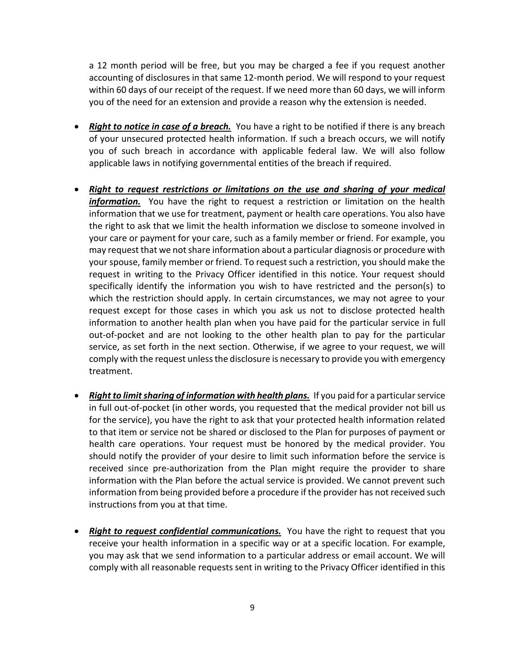a 12 month period will be free, but you may be charged a fee if you request another accounting of disclosures in that same 12-month period. We will respond to your request within 60 days of our receipt of the request. If we need more than 60 days, we will inform you of the need for an extension and provide a reason why the extension is needed.

- *Right to notice in case of a breach.* You have a right to be notified if there is any breach of your unsecured protected health information. If such a breach occurs, we will notify you of such breach in accordance with applicable federal law. We will also follow applicable laws in notifying governmental entities of the breach if required.
- *Right to request restrictions or limitations on the use and sharing of your medical information.* You have the right to request a restriction or limitation on the health information that we use for treatment, payment or health care operations. You also have the right to ask that we limit the health information we disclose to someone involved in your care or payment for your care, such as a family member or friend. For example, you may request that we not share information about a particular diagnosis or procedure with your spouse, family member or friend. To request such a restriction, you should make the request in writing to the Privacy Officer identified in this notice. Your request should specifically identify the information you wish to have restricted and the person(s) to which the restriction should apply. In certain circumstances, we may not agree to your request except for those cases in which you ask us not to disclose protected health information to another health plan when you have paid for the particular service in full out-of-pocket and are not looking to the other health plan to pay for the particular service, as set forth in the next section. Otherwise, if we agree to your request, we will comply with the request unless the disclosure is necessary to provide you with emergency treatment.
- *Right to limit sharing of information with health plans.* If you paid for a particular service in full out-of-pocket (in other words, you requested that the medical provider not bill us for the service), you have the right to ask that your protected health information related to that item or service not be shared or disclosed to the Plan for purposes of payment or health care operations. Your request must be honored by the medical provider. You should notify the provider of your desire to limit such information before the service is received since pre-authorization from the Plan might require the provider to share information with the Plan before the actual service is provided. We cannot prevent such information from being provided before a procedure if the provider has not received such instructions from you at that time.
- *Right to request confidential communications.* You have the right to request that you receive your health information in a specific way or at a specific location. For example, you may ask that we send information to a particular address or email account. We will comply with all reasonable requests sent in writing to the Privacy Officer identified in this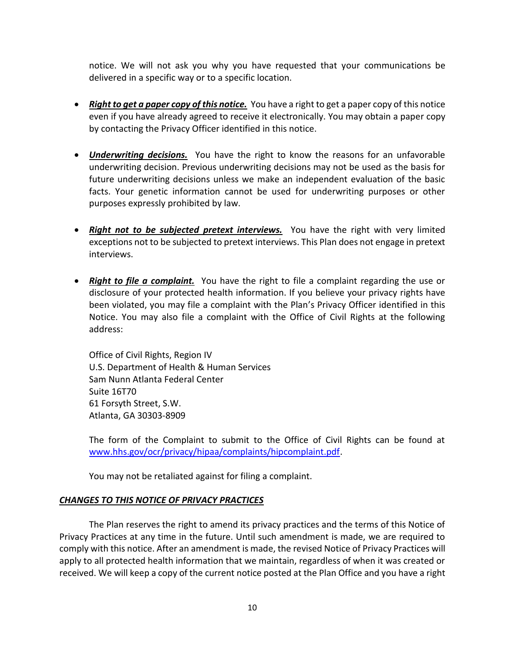notice. We will not ask you why you have requested that your communications be delivered in a specific way or to a specific location.

- *Right to get a paper copy of this notice.* You have a right to get a paper copy of this notice even if you have already agreed to receive it electronically. You may obtain a paper copy by contacting the Privacy Officer identified in this notice.
- *Underwriting decisions.* You have the right to know the reasons for an unfavorable underwriting decision. Previous underwriting decisions may not be used as the basis for future underwriting decisions unless we make an independent evaluation of the basic facts. Your genetic information cannot be used for underwriting purposes or other purposes expressly prohibited by law.
- *Right not to be subjected pretext interviews.* You have the right with very limited exceptions not to be subjected to pretext interviews. This Plan does not engage in pretext interviews.
- *Right to file a complaint.* You have the right to file a complaint regarding the use or disclosure of your protected health information. If you believe your privacy rights have been violated, you may file a complaint with the Plan's Privacy Officer identified in this Notice. You may also file a complaint with the Office of Civil Rights at the following address:

Office of Civil Rights, Region IV U.S. Department of Health & Human Services Sam Nunn Atlanta Federal Center Suite 16T70 61 Forsyth Street, S.W. Atlanta, GA 30303-8909

The form of the Complaint to submit to the Office of Civil Rights can be found at [www.hhs.gov/ocr/privacy/hipaa/complaints/hipcomplaint.pdf.](http://www.hhs.gov/ocr/privacy/hipaa/complaints/hipcomplaint.pdf)

You may not be retaliated against for filing a complaint.

#### *CHANGES TO THIS NOTICE OF PRIVACY PRACTICES*

The Plan reserves the right to amend its privacy practices and the terms of this Notice of Privacy Practices at any time in the future. Until such amendment is made, we are required to comply with this notice. After an amendment is made, the revised Notice of Privacy Practices will apply to all protected health information that we maintain, regardless of when it was created or received. We will keep a copy of the current notice posted at the Plan Office and you have a right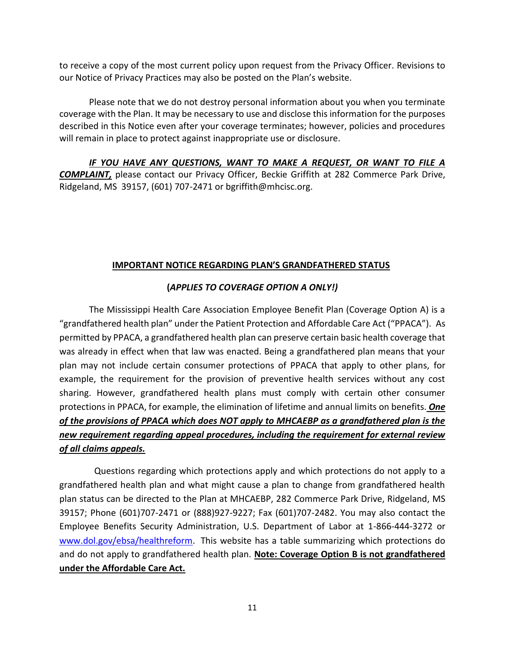to receive a copy of the most current policy upon request from the Privacy Officer. Revisions to our Notice of Privacy Practices may also be posted on the Plan's website.

Please note that we do not destroy personal information about you when you terminate coverage with the Plan. It may be necessary to use and disclose this information for the purposes described in this Notice even after your coverage terminates; however, policies and procedures will remain in place to protect against inappropriate use or disclosure.

*IF YOU HAVE ANY QUESTIONS, WANT TO MAKE A REQUEST, OR WANT TO FILE A COMPLAINT,* please contact our Privacy Officer, Beckie Griffith at 282 Commerce Park Drive, Ridgeland, MS 39157, (601) 707-2471 or bgriffith@mhcisc.org.

#### **IMPORTANT NOTICE REGARDING PLAN'S GRANDFATHERED STATUS**

#### **(***APPLIES TO COVERAGE OPTION A ONLY!)*

The Mississippi Health Care Association Employee Benefit Plan (Coverage Option A) is a "grandfathered health plan" under the Patient Protection and Affordable Care Act ("PPACA"). As permitted by PPACA, a grandfathered health plan can preserve certain basic health coverage that was already in effect when that law was enacted. Being a grandfathered plan means that your plan may not include certain consumer protections of PPACA that apply to other plans, for example, the requirement for the provision of preventive health services without any cost sharing. However, grandfathered health plans must comply with certain other consumer protections in PPACA, for example, the elimination of lifetime and annual limits on benefits. *One of the provisions of PPACA which does NOT apply to MHCAEBP as a grandfathered plan is the new requirement regarding appeal procedures, including the requirement for external review of all claims appeals.*

Questions regarding which protections apply and which protections do not apply to a grandfathered health plan and what might cause a plan to change from grandfathered health plan status can be directed to the Plan at MHCAEBP, 282 Commerce Park Drive, Ridgeland, MS 39157; Phone (601)707-2471 or (888)927-9227; Fax (601)707-2482. You may also contact the Employee Benefits Security Administration, U.S. Department of Labor at 1-866-444-3272 or [www.dol.gov/ebsa/healthreform.](http://www.dol.gov/ebsa/healthreform) This website has a table summarizing which protections do and do not apply to grandfathered health plan. **Note: Coverage Option B is not grandfathered under the Affordable Care Act.**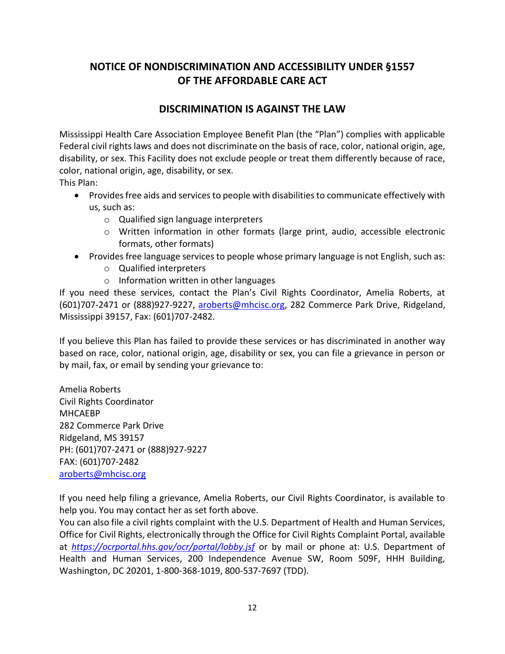## **NOTICE OF NONDISCRIMINATION AND ACCESSIBILITY UNDER §1557 OF THE AFFORDABLE CARE ACT**

### **DISCRIMINATION IS AGAINST THE LAW**

Mississippi Health Care Association Employee Benefit Plan (the "Plan") complies with applicable Federal civil rights laws and does not discriminate on the basis of race, color, national origin, age, disability, or sex. This Facility does not exclude people or treat them differently because of race, color, national origin, age, disability, or sex.

This Plan:

- Provides free aids and services to people with disabilities to communicate effectively with us, such as:
	- o Qualified sign language interpreters
	- o Written information in other formats (large print, audio, accessible electronic formats, other formats)
- Provides free language services to people whose primary language is not English, such as:
	- o Qualified interpreters
	- o Information written in other languages

If you need these services, contact the Plan's Civil Rights Coordinator, Amelia Roberts, at (601)707-2471 or (888)927-9227, [aroberts@mhcisc.org,](mailto:aroberts@mhcisc.org) 282 Commerce Park Drive, Ridgeland, Mississippi 39157, Fax: (601)707-2482.

If you believe this Plan has failed to provide these services or has discriminated in another way based on race, color, national origin, age, disability or sex, you can file a grievance in person or by mail, fax, or email by sending your grievance to:

Amelia Roberts Civil Rights Coordinator MHCAEBP 282 Commerce Park Drive Ridgeland, MS 39157 PH: (601)707-2471 or (888)927-9227 FAX: (601)707-2482 [aroberts@mhcisc.org](mailto:aroberts@mhcisc.org)

If you need help filing a grievance, Amelia Roberts, our Civil Rights Coordinator, is available to help you. You may contact her as set forth above.

You can also file a civil rights complaint with the U.S. Department of Health and Human Services, Office for Civil Rights, electronically through the Office for Civil Rights Complaint Portal, available at *<https://ocrportal.hhs.gov/ocr/portal/lobby.jsf>* or by mail or phone at: U.S. Department of Health and Human Services, 200 Independence Avenue SW, Room 509F, HHH Building, Washington, DC 20201, 1-800-368-1019, 800-537-7697 (TDD).